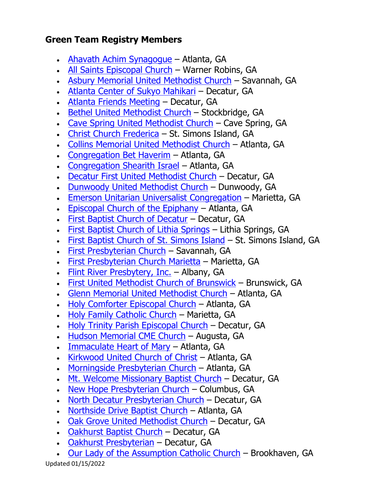## **Green Team Registry Members**

- [Ahavath Achim Synagogue](https://www.aasynagogue.org/) Atlanta, GA
- [All Saints Episcopal Church](https://www.allsaintswr.org/) Warner Robins, GA
- [Asbury Memorial United Methodist Church](https://www.asburymemorial.org/) Savannah, GA
- [Atlanta Center of Sukyo Mahikari](http://www.sukyomahikari.org/index.html) Decatur, GA
- Atlanta [Friends Meeting](http://atlantaquakers.org/) Decatur, GA
- [Bethel United Methodist Church](http://www.bethel-umc.com/) Stockbridge, GA
- [Cave Spring United Methodist Church](http://www.umc.org/find-a-church/church/26506) Cave Spring, GA
- [Christ Church Frederica](http://ccfssi.org/) St. Simons Island, GA
- [Collins Memorial United Methodist Church](https://collinsmemorialumc.org/) Atlanta, GA
- [Congregation Bet Haverim](https://www.congregationbethaverim.org/) Atlanta, GA
- [Congregation Shearith Israel](https://www.shearithisrael.com/) Atlanta, GA
- [Decatur First United Methodist Church](http://www.decaturfirst.org/) Decatur, GA
- [Dunwoody United Methodist Church](http://www.dunwoodyumc.org/) Dunwoody, GA
- [Emerson Unitarian Universalist Congregation](https://www.emersonuu.org/) Marietta, GA
- [Episcopal Church of the Epiphany](https://www.epiphany.org/) Atlanta, GA
- [First Baptist Church of Decatur](https://www.fbcdecatur.com/) Decatur, GA
- [First Baptist Church of Lithia Springs](https://fbcls.org/) Lithia Springs, GA
- [First Baptist Church of St. Simons Island](http://fbcssi.org/) St. Simons Island, GA
- [First Presbyterian Church](https://www.savannahfpc.org/#/) Savannah, GA
- [First Presbyterian Church Marietta](http://fpcmarietta.org/) Marietta, GA
- [Flint River Presbytery, Inc.](https://www.flintriverpresbytery.org/) Albany, GA
- [First United Methodist Church of Brunswick](https://fumcbrunswick.com/) Brunswick, GA
- [Glenn Memorial United Methodist Church](https://www.glennumc.org/) Atlanta, GA
- [Holy Comforter Episcopal Church](http://www.holycomforter-atlanta.org/) Atlanta, GA
- [Holy Family Catholic Church](https://www.holyfamilycc.org/) Marietta, GA
- [Holy Trinity Parish](http://holytrinitydecatur.org/) Episcopal Church Decatur, GA
- [Hudson Memorial CME Church](https://www.facebook.com/Hudson-Memorial-CME-Church-100802045019805/) Augusta, GA
- [Immaculate Heart of Mary](https://ihmatlanta.org/) Atlanta, GA
- [Kirkwood United Church of Christ](https://www.kirkwooducc.com/) Atlanta, GA
- [Morningside Presbyterian Church](https://www.morningsidepc.org/) Atlanta, GA
- [Mt. Welcome Missionary Baptist Church](https://www.mtwelcome.org/) Decatur, GA
- [New Hope Presbyterian Church](https://www.newhopecolumbus.com/) Columbus, GA
- [North Decatur Presbyterian](http://ndpc.org/) Church Decatur, GA
- [Northside Drive Baptist Church](http://northsidedrive.org/) Atlanta, GA
- [Oak Grove United Methodist Church](http://ogumc.org/) Decatur, GA
- [Oakhurst Baptist Church](https://www.oakhurstbaptist.org/) Decatur, GA
- [Oakhurst Presbyterian](https://oakhurstpcusa.org/) Decatur, GA
- [Our Lady of the Assumption Catholic Church](https://www.olachurch.org/) Brookhaven, GA

Updated 01/15/2022